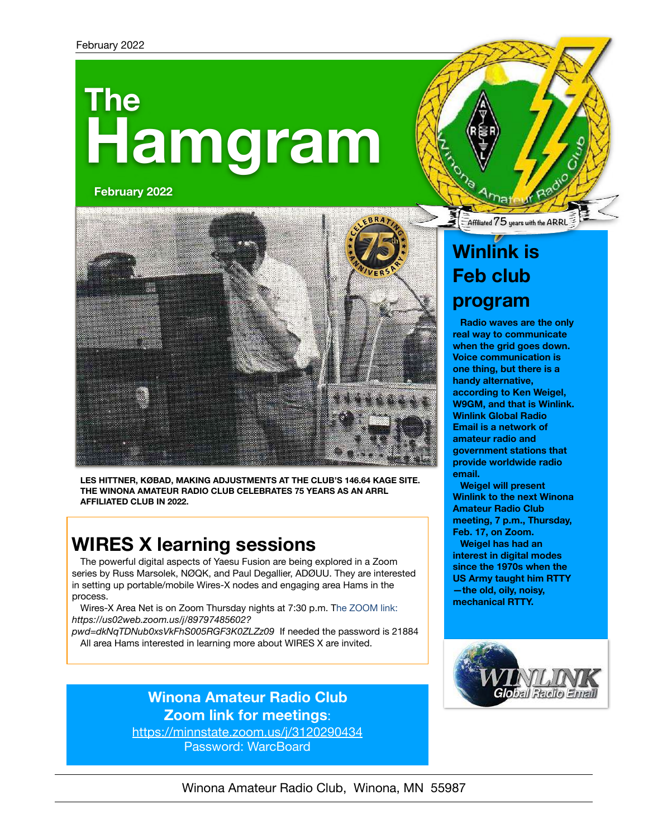# **Hamgram The**

**February 2022**



**LES HITTNER, KØBAD, MAKING ADJUSTMENTS AT THE CLUB'S 146.64 KAGE SITE. THE WINONA AMATEUR RADIO CLUB CELEBRATES 75 YEARS AS AN ARRL AFFILIATED CLUB IN 2022.**

### **WIRES X learning sessions**

The powerful digital aspects of Yaesu Fusion are being explored in a Zoom series by Russ Marsolek, NØQK, and Paul Degallier, ADØUU. They are interested in setting up portable/mobile Wires-X nodes and engaging area Hams in the process.

Wires-X Area Net is on Zoom Thursday nights at 7:30 p.m. The ZOOM link: *[https://us02web.zoom.us/j/89797485602?](https://us02web.zoom.us/j/89797485602?pwd=dkNqTDNub0xsVkFhS005RGF3K0ZLZz09)*

*[pwd=dkNqTDNub0xsVkFhS005RGF3K0ZLZz09](https://us02web.zoom.us/j/89797485602?pwd=dkNqTDNub0xsVkFhS005RGF3K0ZLZz09)* If needed the password is 21884 All area Hams interested in learning more about WIRES X are invited.

### **Winona Amateur Radio Club Zoom link for meetings**:

<https://minnstate.zoom.us/j/3120290434> Password: WarcBoard

### **Winlink is Feb club**

**Affiliated75 years with the ARRL**

### **program**

**Radio waves are the only real way to communicate when the grid goes down. Voice communication is one thing, but there is a handy alternative, according to Ken Weigel, W9GM, and that is Winlink. Winlink Global Radio Email is a network of amateur radio and government stations that provide worldwide radio email.** 

**Weigel will present Winlink to the next Winona Amateur Radio Club meeting, 7 p.m., Thursday, Feb. 17, on Zoom.** 

**Weigel has had an interest in digital modes since the 1970s when the US Army taught him RTTY —the old, oily, noisy, mechanical RTTY.** 



#### Winona Amateur Radio Club, Winona, MN 55987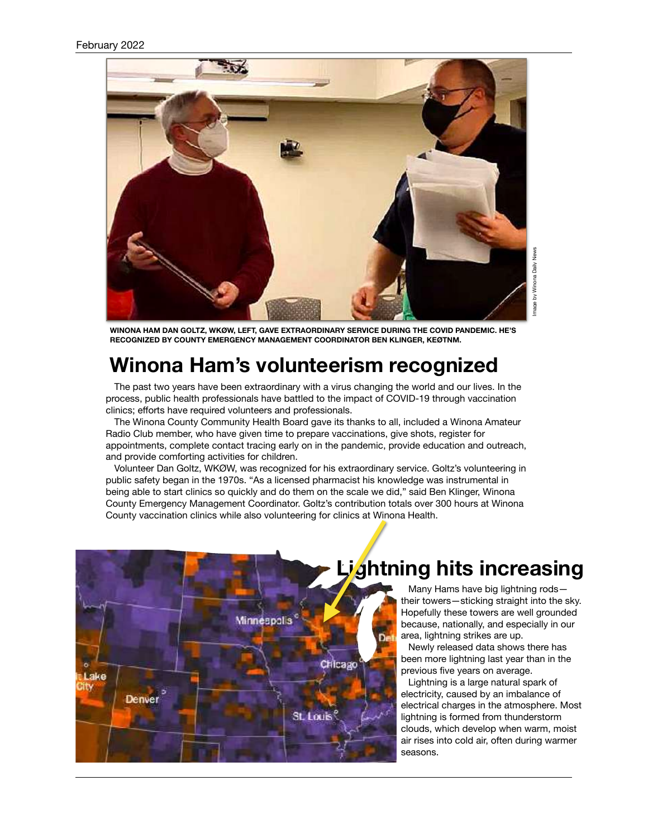#### February 2022



**WINONA HAM DAN GOLTZ, WKØW, LEFT, GAVE EXTRAORDINARY SERVICE DURING THE COVID PANDEMIC. HE'S RECOGNIZED BY COUNTY EMERGENCY MANAGEMENT COORDINATOR BEN KLINGER, KEØTNM.**

### **Winona Ham's volunteerism recognized**

The past two years have been extraordinary with a virus changing the world and our lives. In the process, public health professionals have battled to the impact of COVID-19 through vaccination clinics; efforts have required volunteers and professionals.

The Winona County Community Health Board gave its thanks to all, included a Winona Amateur Radio Club member, who have given time to prepare vaccinations, give shots, register for appointments, complete contact tracing early on in the pandemic, provide education and outreach, and provide comforting activities for children.

Volunteer Dan Goltz, WKØW, was recognized for his extraordinary service. Goltz's volunteering in public safety began in the 1970s. "As a licensed pharmacist his knowledge was instrumental in being able to start clinics so quickly and do them on the scale we did," said Ben Klinger, Winona County Emergency Management Coordinator. Goltz's contribution totals over 300 hours at Winona County vaccination clinics while also volunteering for clinics at Winona Health.



Many Hams have big lightning rods their towers—sticking straight into the sky. Hopefully these towers are well grounded because, nationally, and especially in our area, lightning strikes are up.

[Newly released data](https://www.vaisala.com/sites/default/files/documents/WEA-MET-2021-Annual-Lightning-Report-B212465EN-A.pdf) shows there has been more lightning last year than in the previous five years on average.

Lightning is a large natural spark of electricity, caused by an imbalance of electrical charges in the atmosphere. Most lightning is formed from thunderstorm clouds, which develop when warm, moist air rises into cold air, often during warmer seasons.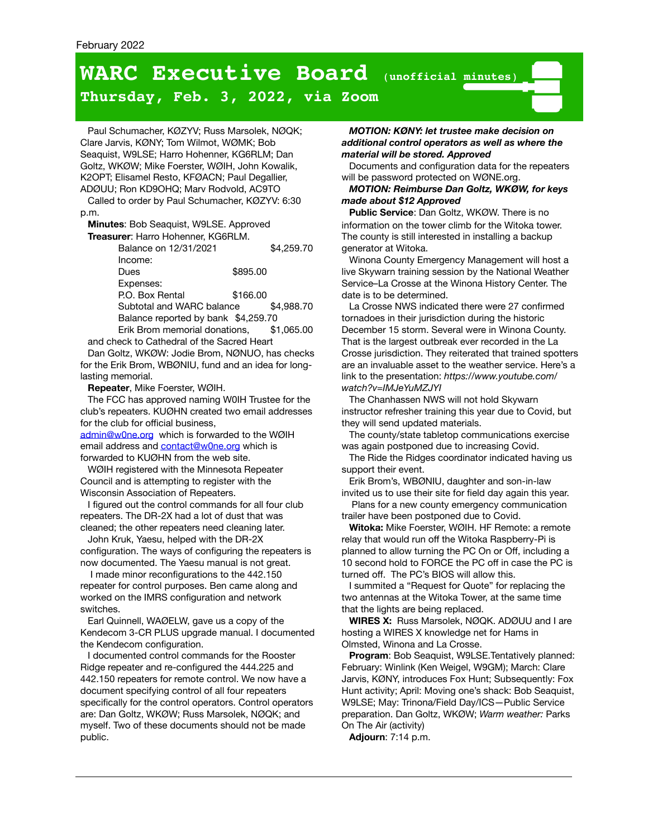## **WARC Executive Board** (**unofficial minutes**)

#### **Thursday, Feb. 3, 2022, via Zoom**

Paul Schumacher, KØZYV; Russ Marsolek, NØQK; Clare Jarvis, KØNY; Tom Wilmot, WØMK; Bob Seaquist, W9LSE; Harro Hohenner, KG6RLM; Dan Goltz, WKØW; Mike Foerster, WØIH, John Kowalik, K2OPT; Elisamel Resto, KFØACN; Paul Degallier, ADØUU; Ron KD9OHQ; Marv Rodvold, AC9TO

Called to order by Paul Schumacher, KØZYV: 6:30 p.m.

**Minutes**: Bob Seaquist, W9LSE. Approved

**Treasurer**: Harro Hohenner, KG6RLM. Balance on 12/31/2021 \$4,259.70 Income: Dues \$895.00 Expenses: P.O. Box Rental \$166.00 Subtotal and WARC balance \$4,988.70 Balance reported by bank \$4,259.70 Erik Brom memorial donations, \$1,065.00

and check to Cathedral of the Sacred Heart Dan Goltz, WKØW: Jodie Brom, NØNUO, has checks

for the Erik Brom, WBØNIU, fund and an idea for longlasting memorial.

**Repeater**, Mike Foerster, WØIH.

The FCC has approved naming W0IH Trustee for the club's repeaters. KUØHN created two email addresses for the club for official business,

[admin@w0ne.org](mailto:admin@w0ne.org) which is forwarded to the WØIH email address and **contact@w0ne.org** which is forwarded to KUØHN from the web site.

WØIH registered with the Minnesota Repeater Council and is attempting to register with the Wisconsin Association of Repeaters.

I figured out the control commands for all four club repeaters. The DR-2X had a lot of dust that was cleaned; the other repeaters need cleaning later.

John Kruk, Yaesu, helped with the DR-2X configuration. The ways of configuring the repeaters is now documented. The Yaesu manual is not great.

I made minor reconfigurations to the 442.150 repeater for control purposes. Ben came along and worked on the IMRS configuration and network switches.

Earl Quinnell, WAØELW, gave us a copy of the Kendecom 3-CR PLUS upgrade manual. I documented the Kendecom configuration.

I documented control commands for the Rooster Ridge repeater and re-configured the 444.225 and 442.150 repeaters for remote control. We now have a document specifying control of all four repeaters specifically for the control operators. Control operators are: Dan Goltz, WKØW; Russ Marsolek, NØQK; and myself. Two of these documents should not be made public.

*MOTION: KØNY: let trustee make decision on additional control operators as well as where the material will be stored. Approved* 

Documents and configuration data for the repeaters will be password protected on WØNE.org.

#### *MOTION: Reimburse Dan Goltz, WKØW, for keys made about \$12 Approved*

**Public Service**: Dan Goltz, WKØW. There is no information on the tower climb for the Witoka tower. The county is still interested in installing a backup generator at Witoka.

Winona County Emergency Management will host a live Skywarn training session by the National Weather Service–La Crosse at the Winona History Center. The date is to be determined.

La Crosse NWS indicated there were 27 confirmed tornadoes in their jurisdiction during the historic December 15 storm. Several were in Winona County. That is the largest outbreak ever recorded in the La Crosse jurisdiction. They reiterated that trained spotters are an invaluable asset to the weather service. Here's a link to the presentation: *https://www.youtube.com/ watch?v=IMJeYuMZJYI*

The Chanhassen NWS will not hold Skywarn instructor refresher training this year due to Covid, but they will send updated materials.

The county/state tabletop communications exercise was again postponed due to increasing Covid.

The Ride the Ridges coordinator indicated having us support their event.

Erik Brom's, WBØNIU, daughter and son-in-law

invited us to use their site for field day again this year. Plans for a new county emergency communication trailer have been postponed due to Covid.

**Witoka:** Mike Foerster, WØIH. HF Remote: a remote relay that would run off the Witoka Raspberry-Pi is planned to allow turning the PC On or Off, including a 10 second hold to FORCE the PC off in case the PC is turned off. The PC's BIOS will allow this.

I summited a "Request for Quote" for replacing the two antennas at the Witoka Tower, at the same time that the lights are being replaced.

**WIRES X:** Russ Marsolek, NØQK. ADØUU and I are hosting a WIRES X knowledge net for Hams in Olmsted, Winona and La Crosse.

**Program**: Bob Seaquist, W9LSE.Tentatively planned: February: Winlink (Ken Weigel, W9GM); March: Clare Jarvis, KØNY, introduces Fox Hunt; Subsequently: Fox Hunt activity; April: Moving one's shack: Bob Seaquist, W9LSE; May: Trinona/Field Day/ICS—Public Service preparation. Dan Goltz, WKØW; *Warm weather:* Parks On The Air (activity)

**Adjourn**: 7:14 p.m.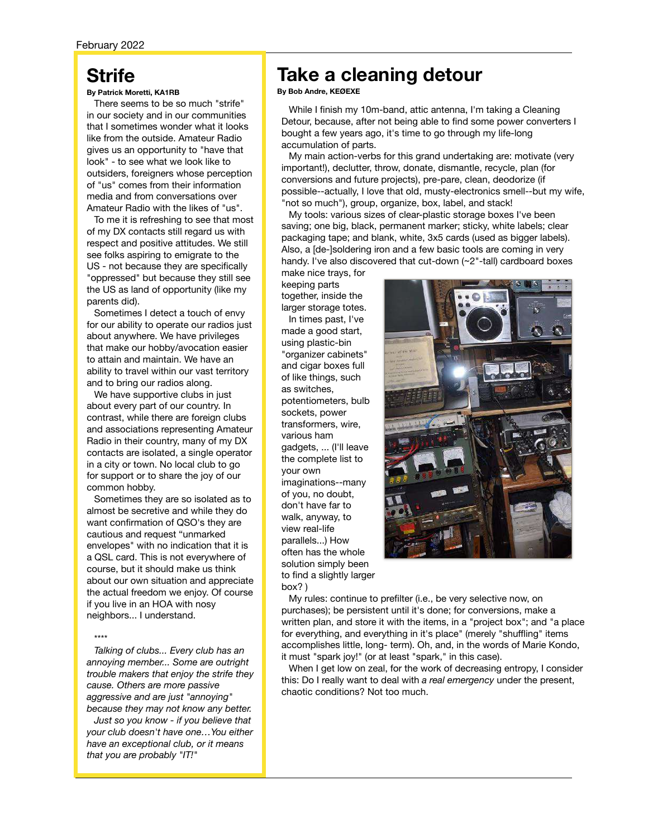### **Strife**

#### **By Patrick Moretti, KA1RB**

There seems to be so much "strife" in our society and in our communities that I sometimes wonder what it looks like from the outside. Amateur Radio gives us an opportunity to "have that look" - to see what we look like to outsiders, foreigners whose perception of "us" comes from their information media and from conversations over Amateur Radio with the likes of "us".

To me it is refreshing to see that most of my DX contacts still regard us with respect and positive attitudes. We still see folks aspiring to emigrate to the US - not because they are specifically "oppressed" but because they still see the US as land of opportunity (like my parents did).

Sometimes I detect a touch of envy for our ability to operate our radios just about anywhere. We have privileges that make our hobby/avocation easier to attain and maintain. We have an ability to travel within our vast territory and to bring our radios along.

We have supportive clubs in just about every part of our country. In contrast, while there are foreign clubs and associations representing Amateur Radio in their country, many of my DX contacts are isolated, a single operator in a city or town. No local club to go for support or to share the joy of our common hobby.

Sometimes they are so isolated as to almost be secretive and while they do want confirmation of QSO's they are cautious and request "unmarked envelopes" with no indication that it is a QSL card. This is not everywhere of course, but it should make us think about our own situation and appreciate the actual freedom we enjoy. Of course if you live in an HOA with nosy neighbors... I understand.

#### \*\*\*\*

*Talking of clubs... Every club has an annoying member... Some are outright trouble makers that enjoy the strife they cause. Others are more passive aggressive and are just "annoying" because they may not know any better.* 

*Just so you know - if you believe that your club doesn't have one…You either have an exceptional club, or it means that you are probably "IT!"*

### **Take a cleaning detour**

**By Bob Andre, KEØEXE**

While I finish my 10m-band, attic antenna, I'm taking a Cleaning Detour, because, after not being able to find some power converters I bought a few years ago, it's time to go through my life-long accumulation of parts.

My main action-verbs for this grand undertaking are: motivate (very important!), declutter, throw, donate, dismantle, recycle, plan (for conversions and future projects), pre-pare, clean, deodorize (if possible--actually, I love that old, musty-electronics smell--but my wife, "not so much"), group, organize, box, label, and stack!

My tools: various sizes of clear-plastic storage boxes I've been saving; one big, black, permanent marker; sticky, white labels; clear packaging tape; and blank, white, 3x5 cards (used as bigger labels). Also, a [de-]soldering iron and a few basic tools are coming in very handy. I've also discovered that cut-down (~2"-tall) cardboard boxes make nice trays, for

keeping parts together, inside the larger storage totes.

In times past, I've made a good start, using plastic-bin "organizer cabinets" and cigar boxes full of like things, such as switches, potentiometers, bulb sockets, power transformers, wire, various ham gadgets, ... (I'll leave the complete list to your own imaginations--many of you, no doubt, don't have far to walk, anyway, to view real-life parallels...) How often has the whole solution simply been to find a slightly larger box? )



My rules: continue to prefilter (i.e., be very selective now, on purchases); be persistent until it's done; for conversions, make a written plan, and store it with the items, in a "project box"; and "a place for everything, and everything in it's place" (merely "shuffling" items accomplishes little, long- term). Oh, and, in the words of Marie Kondo, it must "spark joy!" (or at least "spark," in this case).

When I get low on zeal, for the work of decreasing entropy, I consider this: Do I really want to deal with *a real emergency* under the present, chaotic conditions? Not too much.